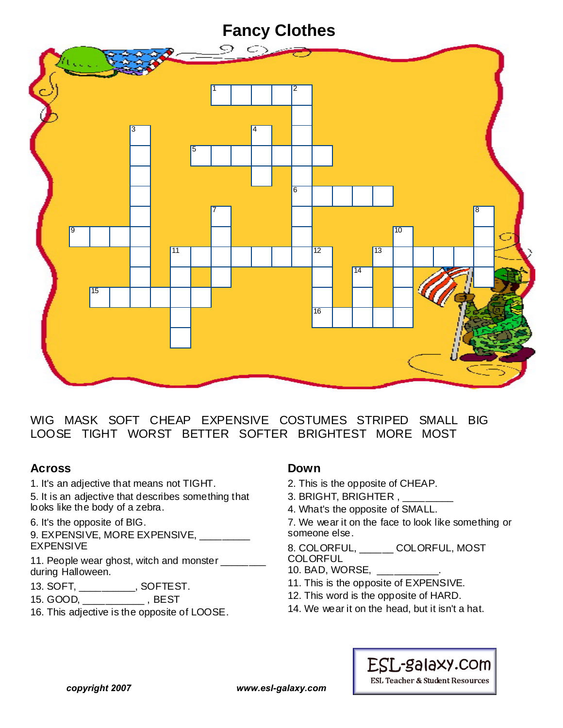## **Fancy Clothes**



WIG MASK SOFT CHEAP EXPENSIVE COSTUMES STRIPED SMALL BIG LOOSE TIGHT WORST BETTER SOFTER BRIGHTEST MORE MOST

## **Across**

1. It's an adjective that means not TIGHT.

5. It is an adjective that describes something that looks like the body of a zebra.

6. It's the opposite of BIG.

9. EXPENSIVE, MORE EXPENSIVE, \_\_\_\_\_\_\_\_ EXPENSIVE

11. People wear ghost, witch and monster \_\_\_\_\_\_\_ during Halloween.

13. SOFT, \_\_\_\_\_\_\_\_\_\_, SOFTEST.

15. GOOD, \_\_\_\_\_\_\_\_\_\_\_ , BEST

16. This adjective is the opposite of LOOSE.

## **Down**

- 2. This is the opposite of CHEAP.
- 3. BRIGHT, BRIGHTER,
- 4. What's the opposite of SMALL.

7. We wear it on the face to look like something or someone else.

#### 8. COLORFUL, \_\_\_\_\_\_ COLORFUL, MOST **COLORFUL**

10. BAD, WORSE, \_\_\_\_\_\_\_\_\_\_\_.

- 11. This is the opposite of EXPENSIVE.
- 12. This word is the opposite of HARD.
- 14. We wear it on the head, but it isn't a hat.



**ESL Teacher & Student Resources** 

*copyright 2007 www.esl-galaxy.com*